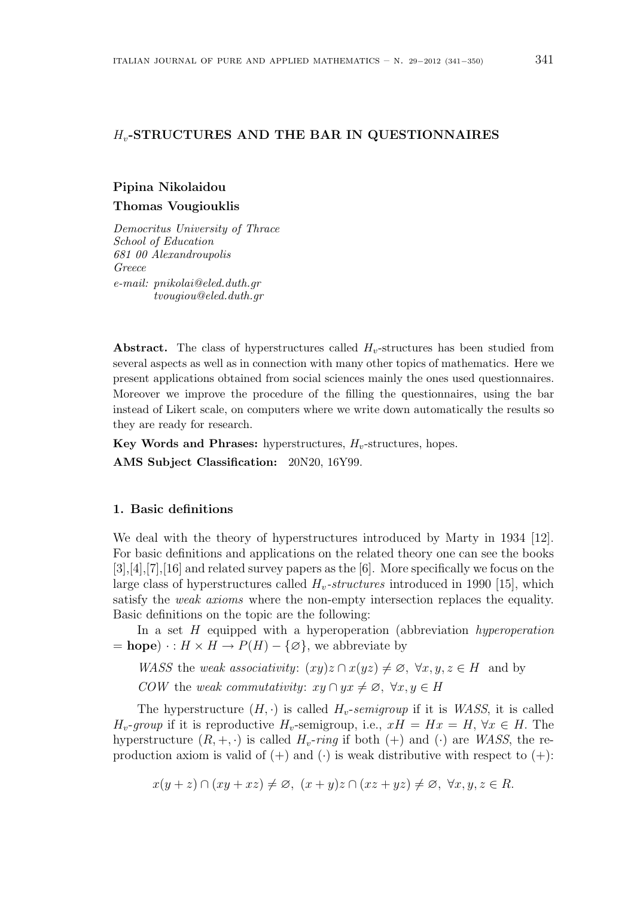# $H_v$ -STRUCTURES AND THE BAR IN QUESTIONNAIRES

# Pipina Nikolaidou Thomas Vougiouklis

Democritus University of Thrace School of Education 681 00 Alexandroupolis Greece e-mail: pnikolai@eled.duth.gr tvougiou@eled.duth.gr

Abstract. The class of hyperstructures called  $H_v$ -structures has been studied from several aspects as well as in connection with many other topics of mathematics. Here we present applications obtained from social sciences mainly the ones used questionnaires. Moreover we improve the procedure of the filling the questionnaires, using the bar instead of Likert scale, on computers where we write down automatically the results so they are ready for research.

Key Words and Phrases: hyperstructures,  $H_v$ -structures, hopes.

AMS Subject Classification: 20N20, 16Y99.

# 1. Basic definitions

We deal with the theory of hyperstructures introduced by Marty in 1934 [12]. For basic definitions and applications on the related theory one can see the books [3],[4],[7],[16] and related survey papers as the [6]. More specifically we focus on the large class of hyperstructures called  $H_v$ -structures introduced in 1990 [15], which satisfy the weak axioms where the non-empty intersection replaces the equality. Basic definitions on the topic are the following:

In a set  $H$  equipped with a hyperoperation (abbreviation *hyperoperation*  $= \textbf{ hope}) \cdot : H \times H \rightarrow P(H) - \{\varnothing\},$  we abbreviate by

WASS the weak associativity:  $(xy)z \cap x(yz) \neq \emptyset$ ,  $\forall x, y, z \in H$  and by COW the weak commutativity:  $xy \cap yx \neq \emptyset$ ,  $\forall x, y \in H$ 

The hyperstructure  $(H, \cdot)$  is called  $H_v$ -semigroup if it is WASS, it is called  $H_v$ -group if it is reproductive  $H_v$ -semigroup, i.e.,  $xH = Hx = H$ ,  $\forall x \in H$ . The hyperstructure  $(R, +, \cdot)$  is called  $H_v\text{-ring}$  if both  $(+)$  and  $(\cdot)$  are WASS, the reproduction axiom is valid of  $(+)$  and  $(·)$  is weak distributive with respect to  $(+)$ :

 $x(y + z) \cap (xy + xz) \neq \emptyset$ ,  $(x + y)z \cap (xz + yz) \neq \emptyset$ ,  $\forall x, y, z \in R$ .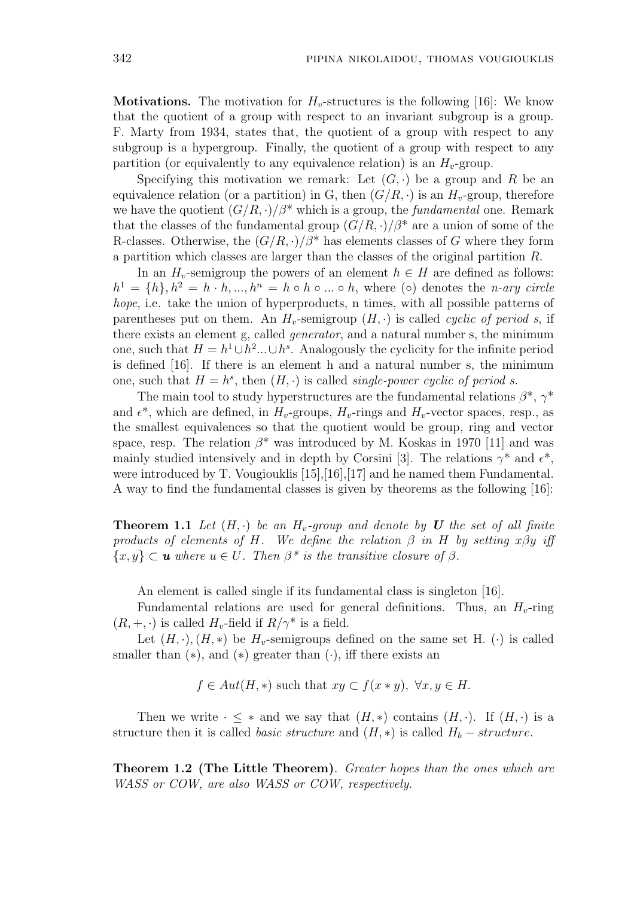**Motivations.** The motivation for  $H<sub>v</sub>$ -structures is the following [16]: We know that the quotient of a group with respect to an invariant subgroup is a group. F. Marty from 1934, states that, the quotient of a group with respect to any subgroup is a hypergroup. Finally, the quotient of a group with respect to any partition (or equivalently to any equivalence relation) is an  $H<sub>v</sub>$ -group.

Specifying this motivation we remark: Let  $(G, \cdot)$  be a group and R be an equivalence relation (or a partition) in G, then  $(G/R, \cdot)$  is an  $H_v$ -group, therefore we have the quotient  $(G/R, \cdot)/\beta^*$  which is a group, the *fundamental* one. Remark that the classes of the fundamental group  $(G/R, \cdot)/\beta^*$  are a union of some of the R-classes. Otherwise, the  $(G/R, \cdot)/\beta^*$  has elements classes of G where they form a partition which classes are larger than the classes of the original partition R.

In an  $H_v$ -semigroup the powers of an element  $h \in H$  are defined as follows:  $h^1 = \{h\}, h^2 = h \cdot h, ..., h^n = h \circ h \circ ... \circ h$ , where ( $\circ$ ) denotes the *n-ary circle* hope, i.e. take the union of hyperproducts, n times, with all possible patterns of parentheses put on them. An  $H_v$ -semigroup  $(H, \cdot)$  is called *cyclic of period s*, if there exists an element g, called generator, and a natural number s, the minimum one, such that  $H = h^1 \cup h^2 ... \cup h^s$ . Analogously the cyclicity for the infinite period is defined [16]. If there is an element h and a natural number s, the minimum one, such that  $H = h^s$ , then  $(H, \cdot)$  is called *single-power cyclic of period s.* 

The main tool to study hyperstructures are the fundamental relations  $\beta^*, \gamma^*$ and  $\epsilon^*$ , which are defined, in  $H_v$ -groups,  $H_v$ -rings and  $H_v$ -vector spaces, resp., as the smallest equivalences so that the quotient would be group, ring and vector space, resp. The relation  $\beta^*$  was introduced by M. Koskas in 1970 [11] and was mainly studied intensively and in depth by Corsini [3]. The relations  $\gamma^*$  and  $\epsilon^*$ , were introduced by T. Vougiouklis [15],[16],[17] and he named them Fundamental. A way to find the fundamental classes is given by theorems as the following [16]:

**Theorem 1.1** Let  $(H, \cdot)$  be an  $H_v$ -group and denote by U the set of all finite products of elements of H. We define the relation  $\beta$  in H by setting x $\beta y$  iff  $\{x, y\} \subset \mathbf{u}$  where  $u \in U$ . Then  $\beta^*$  is the transitive closure of  $\beta$ .

An element is called single if its fundamental class is singleton [16].

Fundamental relations are used for general definitions. Thus, an  $H_v$ -ring  $(R, +, \cdot)$  is called  $H_v$ -field if  $R/\gamma^*$  is a field.

Let  $(H, \cdot), (H, *)$  be  $H_v$ -semigroups defined on the same set H.  $(·)$  is called smaller than  $(*)$ , and  $(*)$  greater than  $(·)$ , iff there exists an

 $f \in Aut(H, *)$  such that  $xy \subset f(x * y)$ ,  $\forall x, y \in H$ .

Then we write  $\cdot \leq *$  and we say that  $(H, *)$  contains  $(H, \cdot)$ . If  $(H, \cdot)$  is a structure then it is called *basic structure* and  $(H, *)$  is called  $H_b - structure$ .

Theorem 1.2 (The Little Theorem). Greater hopes than the ones which are WASS or COW, are also WASS or COW, respectively.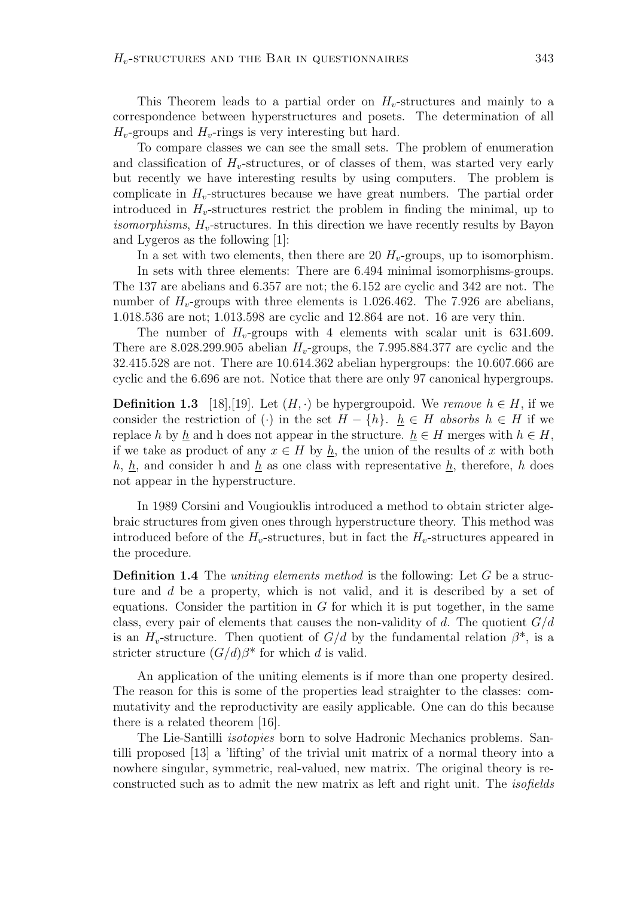This Theorem leads to a partial order on  $H<sub>v</sub>$ -structures and mainly to a correspondence between hyperstructures and posets. The determination of all  $H_v$ -groups and  $H_v$ -rings is very interesting but hard.

To compare classes we can see the small sets. The problem of enumeration and classification of  $H<sub>v</sub>$ -structures, or of classes of them, was started very early but recently we have interesting results by using computers. The problem is complicate in  $H<sub>v</sub>$ -structures because we have great numbers. The partial order introduced in  $H_v$ -structures restrict the problem in finding the minimal, up to *isomorphisms,*  $H_v$ -structures. In this direction we have recently results by Bayon and Lygeros as the following [1]:

In a set with two elements, then there are 20  $H_v$ -groups, up to isomorphism.

In sets with three elements: There are 6.494 minimal isomorphisms-groups. The 137 are abelians and 6.357 are not; the 6.152 are cyclic and 342 are not. The number of  $H_{v}$ -groups with three elements is 1.026.462. The 7.926 are abelians, 1.018.536 are not; 1.013.598 are cyclic and 12.864 are not. 16 are very thin.

The number of  $H_{v}$ -groups with 4 elements with scalar unit is 631.609. There are 8.028.299.905 abelian  $H_v$ -groups, the 7.995.884.377 are cyclic and the 32.415.528 are not. There are 10.614.362 abelian hypergroups: the 10.607.666 are cyclic and the 6.696 are not. Notice that there are only 97 canonical hypergroups.

**Definition 1.3** [18],[19]. Let  $(H, \cdot)$  be hypergroupoid. We remove  $h \in H$ , if we consider the restriction of (·) in the set  $H - \{h\}$ .  $h \in H$  absorbs  $h \in H$  if we replace h by h and h does not appear in the structure.  $h \in H$  merges with  $h \in H$ , if we take as product of any  $x \in H$  by h, the union of the results of x with both h,  $h$ , and consider h and  $h$  as one class with representative  $h$ , therefore, h does not appear in the hyperstructure.

In 1989 Corsini and Vougiouklis introduced a method to obtain stricter algebraic structures from given ones through hyperstructure theory. This method was introduced before of the  $H_v$ -structures, but in fact the  $H_v$ -structures appeared in the procedure.

**Definition 1.4** The *uniting elements method* is the following: Let G be a structure and d be a property, which is not valid, and it is described by a set of equations. Consider the partition in  $G$  for which it is put together, in the same class, every pair of elements that causes the non-validity of d. The quotient  $G/d$ is an  $H<sub>v</sub>$ -structure. Then quotient of  $G/d$  by the fundamental relation  $\beta^*$ , is a stricter structure  $(G/d)\beta^*$  for which d is valid.

An application of the uniting elements is if more than one property desired. The reason for this is some of the properties lead straighter to the classes: commutativity and the reproductivity are easily applicable. One can do this because there is a related theorem [16].

The Lie-Santilli isotopies born to solve Hadronic Mechanics problems. Santilli proposed [13] a 'lifting' of the trivial unit matrix of a normal theory into a nowhere singular, symmetric, real-valued, new matrix. The original theory is reconstructed such as to admit the new matrix as left and right unit. The isofields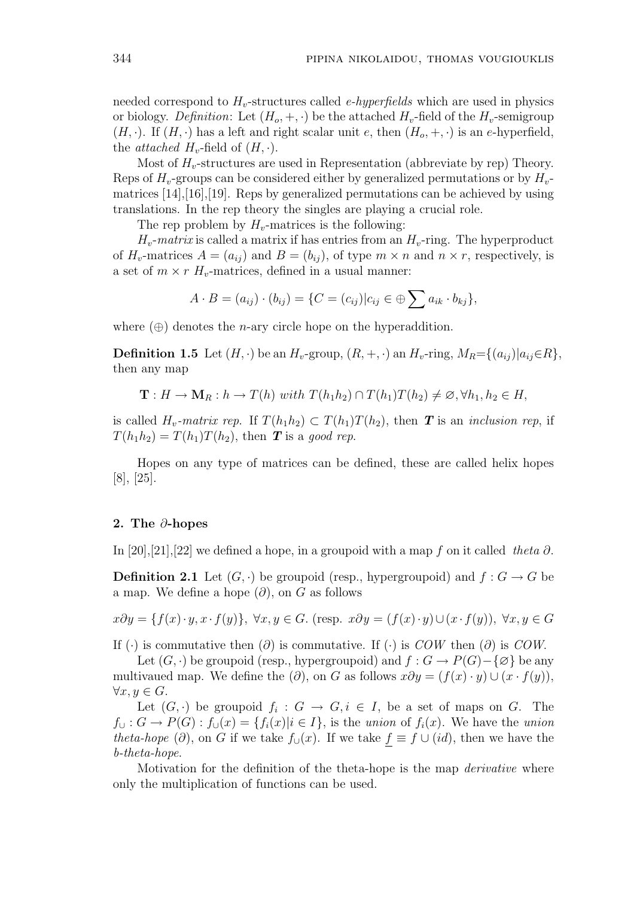needed correspond to  $H<sub>v</sub>$ -structures called *e-hyperfields* which are used in physics or biology. Definition: Let  $(H_o, +, \cdot)$  be the attached  $H_v$ -field of the  $H_v$ -semigroup  $(H, \cdot)$ . If  $(H, \cdot)$  has a left and right scalar unit e, then  $(H_o, +, \cdot)$  is an e-hyperfield, the *attached*  $H_v$ -field of  $(H, \cdot)$ .

Most of  $H_v$ -structures are used in Representation (abbreviate by rep) Theory. Reps of  $H_v$ -groups can be considered either by generalized permutations or by  $H_v$ matrices  $[14], [16], [19]$ . Reps by generalized permutations can be achieved by using translations. In the rep theory the singles are playing a crucial role.

The rep problem by  $H_v$ -matrices is the following:

 $H_v$ -matrix is called a matrix if has entries from an  $H_v$ -ring. The hyperproduct of  $H_v$ -matrices  $A = (a_{ij})$  and  $B = (b_{ij})$ , of type  $m \times n$  and  $n \times r$ , respectively, is a set of  $m \times r$  H<sub>v</sub>-matrices, defined in a usual manner:

$$
A \cdot B = (a_{ij}) \cdot (b_{ij}) = \{ C = (c_{ij}) | c_{ij} \in \bigoplus \sum a_{ik} \cdot b_{kj} \},
$$

where  $(\oplus)$  denotes the *n*-ary circle hope on the hyperaddition.

**Definition 1.5** Let  $(H, \cdot)$  be an  $H_v$ -group,  $(R, +, \cdot)$  an  $H_v$ -ring,  $M_R = \{(a_{ij}) | a_{ij} \in R\}$ , then any map

$$
\mathbf{T}: H \to \mathbf{M}_R: h \to T(h) \text{ with } T(h_1h_2) \cap T(h_1)T(h_2) \neq \emptyset, \forall h_1, h_2 \in H,
$$

is called  $H_v$ -matrix rep. If  $T(h_1h_2) \subset T(h_1)T(h_2)$ , then **T** is an inclusion rep, if  $T(h_1h_2) = T(h_1)T(h_2)$ , then **T** is a good rep.

Hopes on any type of matrices can be defined, these are called helix hopes [8], [25].

# 2. The ∂-hopes

In [20],[21],[22] we defined a hope, in a groupoid with a map f on it called theta  $\partial$ .

**Definition 2.1** Let  $(G, \cdot)$  be groupoid (resp., hypergroupoid) and  $f : G \to G$  be a map. We define a hope  $(\partial)$ , on G as follows

$$
x\partial y = \{f(x)\cdot y, x\cdot f(y)\}, \ \forall x, y \in G. \ (\text{resp. } x\partial y = (f(x)\cdot y) \cup (x\cdot f(y)), \ \forall x, y \in G
$$

If (·) is commutative then  $(\partial)$  is commutative. If (·) is COW then  $(\partial)$  is COW.

Let  $(G, \cdot)$  be groupoid (resp., hypergroupoid) and  $f: G \to P(G) - \{\emptyset\}$  be any multivaued map. We define the  $(\partial)$ , on G as follows  $x\partial y = (f(x) \cdot y) \cup (x \cdot f(y)),$  $\forall x, y \in G.$ 

Let  $(G, \cdot)$  be groupoid  $f_i : G \to G, i \in I$ , be a set of maps on G. The  $f_{\cup}: G \to P(G): f_{\cup}(x) = \{f_i(x)|i \in I\}$ , is the union of  $f_i(x)$ . We have the union theta-hope (∂), on G if we take  $f_{\cup}(x)$ . If we take  $f \equiv f \cup (id)$ , then we have the b-theta-hope.

Motivation for the definition of the theta-hope is the map *derivative* where only the multiplication of functions can be used.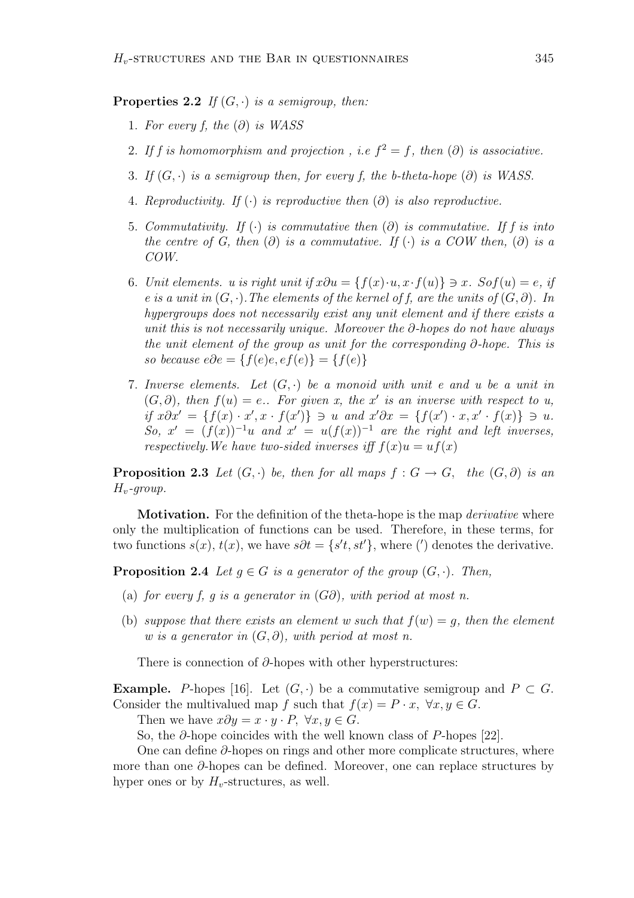**Properties 2.2** If  $(G, \cdot)$  is a semigroup, then:

- 1. For every f, the  $(\partial)$  is WASS
- 2. If f is homomorphism and projection, i.e  $f^2 = f$ , then  $(\partial)$  is associative.
- 3. If  $(G, \cdot)$  is a semigroup then, for every f, the b-theta-hope  $(\partial)$  is WASS.
- 4. Reproductivity. If  $(\cdot)$  is reproductive then  $(\partial)$  is also reproductive.
- 5. Commutativity. If  $(\cdot)$  is commutative then  $(\partial)$  is commutative. If f is into the centre of G, then  $(\partial)$  is a commutative. If  $(\cdot)$  is a COW then,  $(\partial)$  is a COW.
- 6. Unit elements. u is right unit if  $x\partial u = \{f(x)\cdot u, x\cdot f(u)\}\ni x$ . So $f(u) = e$ , if e is a unit in  $(G, \cdot)$ . The elements of the kernel of f, are the units of  $(G, \partial)$ . In hypergroups does not necessarily exist any unit element and if there exists a unit this is not necessarily unique. Moreover the  $\partial$ -hopes do not have always the unit element of the group as unit for the corresponding ∂-hope. This is so because  $e\partial e = \{f(e)e, ef(e)\} = \{f(e)\}$
- 7. Inverse elements. Let  $(G, \cdot)$  be a monoid with unit e and u be a unit in  $(G, \partial)$ , then  $f(u) = e$ . For given x, the x' is an inverse with respect to u, if  $x\partial x' = \{f(x) \cdot x', x \cdot f(x')\} \ni u$  and  $x'\partial x = \{f(x') \cdot x, x' \cdot f(x)\} \ni u$ . So,  $x' = (f(x))^{-1}u$  and  $x' = u(f(x))^{-1}$  are the right and left inverses, respectively. We have two-sided inverses iff  $f(x)u = uf(x)$

**Proposition 2.3** Let  $(G, \cdot)$  be, then for all maps  $f : G \to G$ , the  $(G, \partial)$  is an  $H_v$ -group.

**Motivation.** For the definition of the theta-hope is the map *derivative* where only the multiplication of functions can be used. Therefore, in these terms, for two functions  $s(x)$ ,  $t(x)$ , we have  $s\partial t = \{s't, st'\}$ , where (') denotes the derivative.

**Proposition 2.4** Let  $g \in G$  is a generator of the group  $(G, \cdot)$ . Then,

- (a) for every f, g is a generator in  $(G\partial)$ , with period at most n.
- (b) suppose that there exists an element w such that  $f(w) = q$ , then the element w is a generator in  $(G, \partial)$ , with period at most n.

There is connection of  $\partial$ -hopes with other hyperstructures:

**Example.** P-hopes [16]. Let  $(G, \cdot)$  be a commutative semigroup and  $P \subset G$ . Consider the multivalued map f such that  $f(x) = P \cdot x$ ,  $\forall x, y \in G$ .

Then we have  $x\partial y = x \cdot y \cdot P$ ,  $\forall x, y \in G$ .

So, the  $\partial$ -hope coincides with the well known class of P-hopes [22].

One can define ∂-hopes on rings and other more complicate structures, where more than one ∂-hopes can be defined. Moreover, one can replace structures by hyper ones or by  $H_v$ -structures, as well.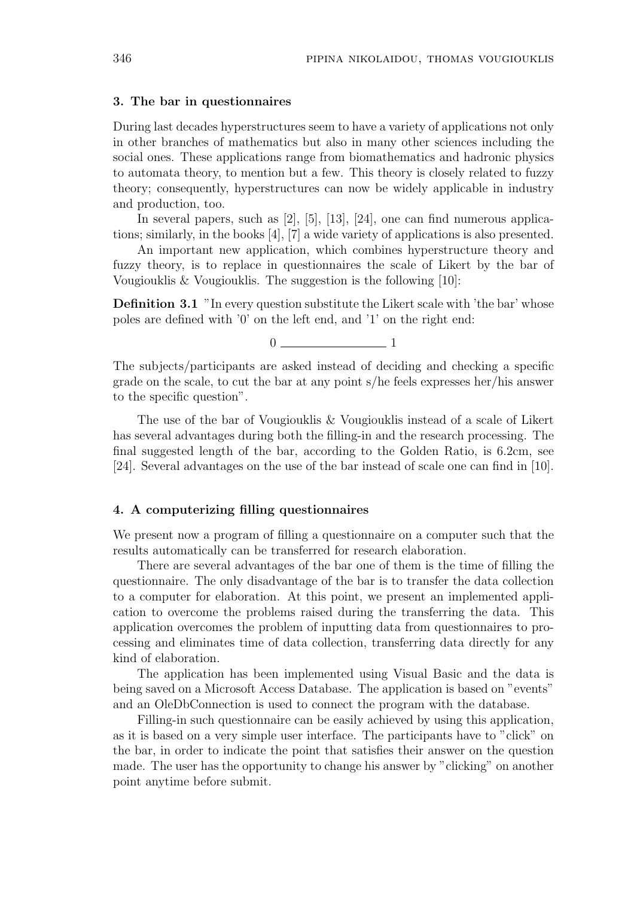#### 3. The bar in questionnaires

During last decades hyperstructures seem to have a variety of applications not only in other branches of mathematics but also in many other sciences including the social ones. These applications range from biomathematics and hadronic physics to automata theory, to mention but a few. This theory is closely related to fuzzy theory; consequently, hyperstructures can now be widely applicable in industry and production, too.

In several papers, such as [2], [5], [13], [24], one can find numerous applications; similarly, in the books [4], [7] a wide variety of applications is also presented.

An important new application, which combines hyperstructure theory and fuzzy theory, is to replace in questionnaires the scale of Likert by the bar of Vougiouklis & Vougiouklis. The suggestion is the following [10]:

Definition 3.1 "In every question substitute the Likert scale with 'the bar' whose poles are defined with '0' on the left end, and '1' on the right end:

 $0 \hspace{3.2cm} 1$ 

The subjects/participants are asked instead of deciding and checking a specific grade on the scale, to cut the bar at any point s/he feels expresses her/his answer to the specific question".

The use of the bar of Vougiouklis & Vougiouklis instead of a scale of Likert has several advantages during both the filling-in and the research processing. The final suggested length of the bar, according to the Golden Ratio, is 6.2cm, see [24]. Several advantages on the use of the bar instead of scale one can find in [10].

# 4. A computerizing filling questionnaires

We present now a program of filling a questionnaire on a computer such that the results automatically can be transferred for research elaboration.

There are several advantages of the bar one of them is the time of filling the questionnaire. The only disadvantage of the bar is to transfer the data collection to a computer for elaboration. At this point, we present an implemented application to overcome the problems raised during the transferring the data. This application overcomes the problem of inputting data from questionnaires to processing and eliminates time of data collection, transferring data directly for any kind of elaboration.

The application has been implemented using Visual Basic and the data is being saved on a Microsoft Access Database. The application is based on "events" and an OleDbConnection is used to connect the program with the database.

Filling-in such questionnaire can be easily achieved by using this application, as it is based on a very simple user interface. The participants have to "click" on the bar, in order to indicate the point that satisfies their answer on the question made. The user has the opportunity to change his answer by "clicking" on another point anytime before submit.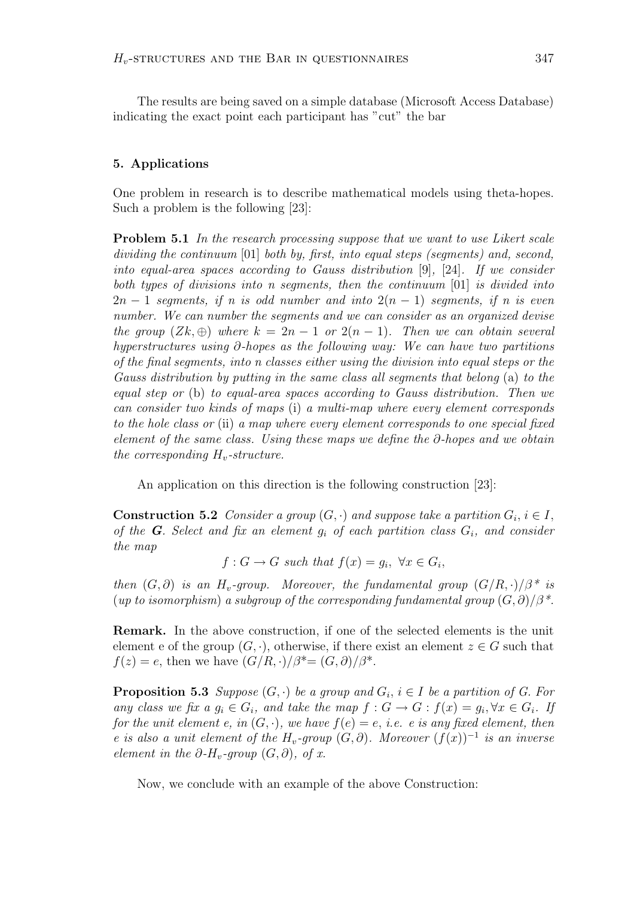The results are being saved on a simple database (Microsoft Access Database) indicating the exact point each participant has "cut" the bar

# 5. Applications

One problem in research is to describe mathematical models using theta-hopes. Such a problem is the following [23]:

Problem 5.1 In the research processing suppose that we want to use Likert scale dividing the continuum [01] both by, first, into equal steps (segments) and, second, into equal-area spaces according to Gauss distribution [9], [24]. If we consider both types of divisions into n segments, then the continuum [01] is divided into  $2n-1$  segments, if n is odd number and into  $2(n-1)$  segments, if n is even number. We can number the segments and we can consider as an organized devise the group  $(Zk, \oplus)$  where  $k = 2n - 1$  or  $2(n - 1)$ . Then we can obtain several hyperstructures using ∂-hopes as the following way: We can have two partitions of the final segments, into n classes either using the division into equal steps or the Gauss distribution by putting in the same class all segments that belong (a) to the equal step or (b) to equal-area spaces according to Gauss distribution. Then we can consider two kinds of maps (i) a multi-map where every element corresponds to the hole class or (ii) a map where every element corresponds to one special fixed element of the same class. Using these maps we define the  $\partial$ -hopes and we obtain the corresponding  $H_v$ -structure.

An application on this direction is the following construction [23]:

**Construction 5.2** Consider a group  $(G, \cdot)$  and suppose take a partition  $G_i$ ,  $i \in I$ , of the **G**. Select and fix an element  $q_i$  of each partition class  $G_i$ , and consider the map

 $f: G \to G$  such that  $f(x) = g_i, \ \forall x \in G_i$ ,

then  $(G, \partial)$  is an  $H_v$ -group. Moreover, the fundamental group  $(G/R, \cdot)/\beta^*$  is (up to isomorphism) a subgroup of the corresponding fundamental group  $(G, \partial)/\beta^*$ .

Remark. In the above construction, if one of the selected elements is the unit element e of the group  $(G, \cdot)$ , otherwise, if there exist an element  $z \in G$  such that  $f(z) = e$ , then we have  $(G/R, \cdot)/\beta^* = (G, \partial)/\beta^*$ .

**Proposition 5.3** Suppose  $(G, \cdot)$  be a group and  $G_i$ ,  $i \in I$  be a partition of G. For any class we fix a  $g_i \in G_i$ , and take the map  $f: G \to G: f(x) = g_i, \forall x \in G_i$ . If for the unit element e, in  $(G, \cdot)$ , we have  $f(e) = e$ , i.e. e is any fixed element, then e is also a unit element of the H<sub>v</sub>-group  $(G, \partial)$ . Moreover  $(f(x))^{-1}$  is an inverse element in the  $\partial$ -H<sub>v</sub>-group  $(G, \partial)$ , of x.

Now, we conclude with an example of the above Construction: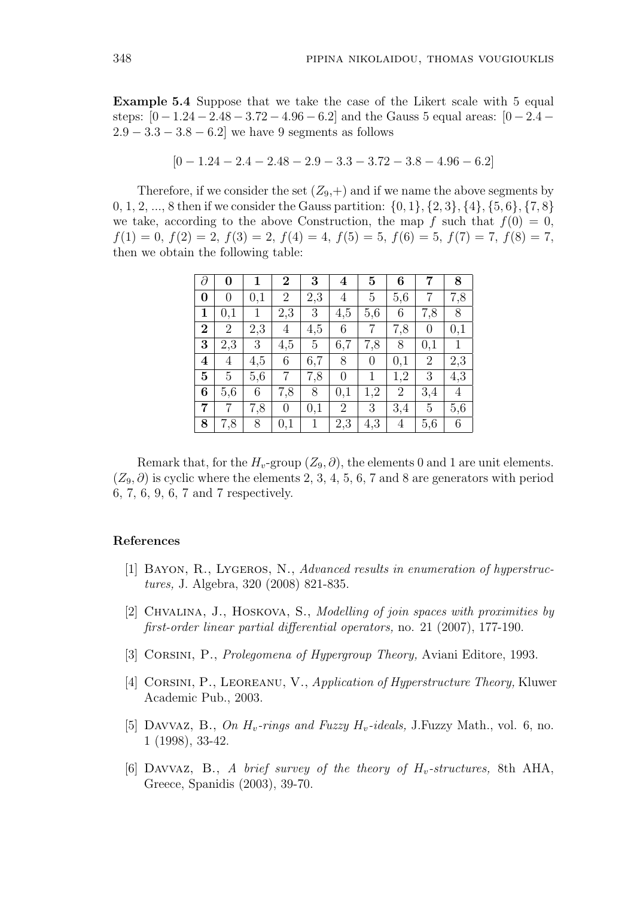Example 5.4 Suppose that we take the case of the Likert scale with 5 equal steps:  $[0-1.24-2.48-3.72-4.96-6.2]$  and the Gauss 5 equal areas:  $[0-2.4 2.9 - 3.3 - 3.8 - 6.2$  we have 9 segments as follows

$$
[0-1.24-2.4-2.48-2.9-3.3-3.72-3.8-4.96-6.2]
$$

Therefore, if we consider the set  $(Z_9,+)$  and if we name the above segments by 0, 1, 2, ..., 8 then if we consider the Gauss partition:  $\{0, 1\}$ ,  $\{2, 3\}$ ,  $\{4\}$ ,  $\{5, 6\}$ ,  $\{7, 8\}$ we take, according to the above Construction, the map f such that  $f(0) = 0$ ,  $f(1) = 0, f(2) = 2, f(3) = 2, f(4) = 4, f(5) = 5, f(6) = 5, f(7) = 7, f(8) = 7,$ then we obtain the following table:

| $\partial$              | 0              | 1   | $\overline{2}$   | 3   | $\overline{\mathbf{4}}$ | $\mathbf{5}$     | 6              | 7              | 8              |
|-------------------------|----------------|-----|------------------|-----|-------------------------|------------------|----------------|----------------|----------------|
| $\bf{0}$                | 0              | 0,1 | $\overline{2}$   | 2,3 | 4                       | 5                | 5,6            | 7              | 7,8            |
| $\mathbf{1}$            | 0,1            | 1   | 2,3              | 3   | 4,5                     | 5,6              | 6              | 7,8            | 8              |
| $\overline{2}$          | $\overline{2}$ | 2,3 | $\overline{4}$   | 4,5 | 6                       | 7                | 7,8            | $\overline{0}$ | 0,1            |
| 3                       | 2,3            | 3   | 4,5              | 5   | 6,7                     | 7,8              | 8              | 0,1            | 1              |
| $\overline{\mathbf{4}}$ | 4              | 4,5 | 6                | 6,7 | 8                       | $\boldsymbol{0}$ | 0,1            | $\overline{2}$ | 2,3            |
| $\overline{5}$          | $\overline{5}$ | 5,6 | $\overline{7}$   | 7,8 | $\overline{0}$          | $\mathbf{1}$     | 1,2            | 3              | 4,3            |
| 6                       | 5,6            | 6   | 7,8              | 8   | 0,1                     | 1,2              | $\overline{2}$ | 3,4            | $\overline{4}$ |
| $\overline{7}$          | 7              | 7,8 | $\boldsymbol{0}$ | 0,1 | $\overline{2}$          | 3                | 3,4            | $\overline{5}$ | 5,6            |
| 8                       | 7,8            | 8   | 0,1              | 1   | 2,3                     | 4,3              | 4              | 5,6            | 6              |

Remark that, for the  $H_v$ -group  $(Z_9, \partial)$ , the elements 0 and 1 are unit elements.  $(Z_9, \partial)$  is cyclic where the elements 2, 3, 4, 5, 6, 7 and 8 are generators with period 6, 7, 6, 9, 6, 7 and 7 respectively.

## References

- [1] Bayon, R., Lygeros, N., Advanced results in enumeration of hyperstructures, J. Algebra, 320 (2008) 821-835.
- [2] Chvalina, J., Hoskova, S., Modelling of join spaces with proximities by first-order linear partial differential operators, no. 21 (2007), 177-190.
- [3] CORSINI, P., *Prolegomena of Hypergroup Theory*, Aviani Editore, 1993.
- [4] CORSINI, P., LEOREANU, V., Application of Hyperstructure Theory, Kluwer Academic Pub., 2003.
- [5] DAVVAZ, B., On  $H_v$ -rings and Fuzzy  $H_v$ -ideals, J.Fuzzy Math., vol. 6, no. 1 (1998), 33-42.
- [6] DAVVAZ, B., A brief survey of the theory of  $H_v$ -structures, 8th AHA, Greece, Spanidis (2003), 39-70.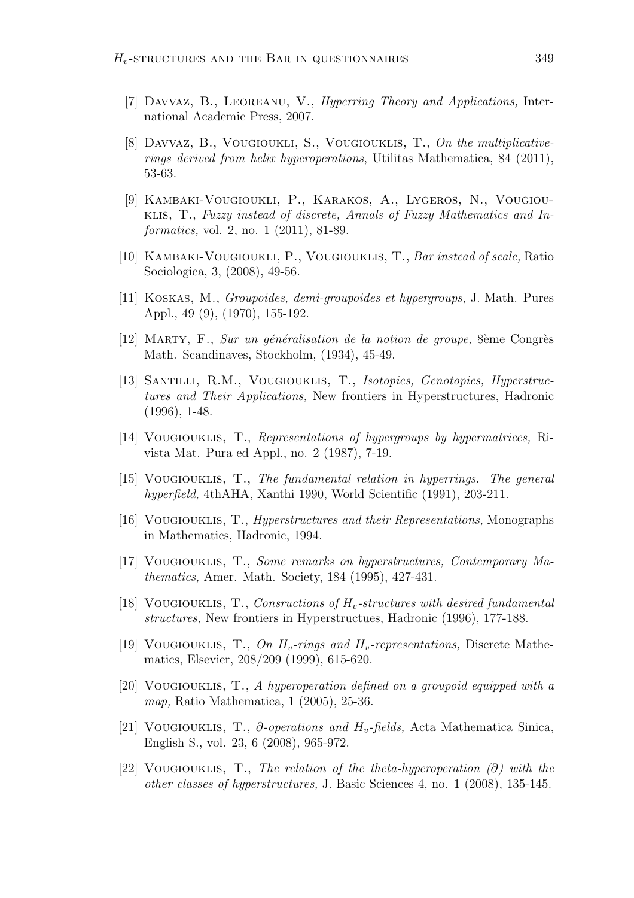- [7] Davvaz, B., Leoreanu, V., Hyperring Theory and Applications, International Academic Press, 2007.
- [8] Davvaz, B., Vougioukli, S., Vougiouklis, T., On the multiplicativerings derived from helix hyperoperations, Utilitas Mathematica, 84 (2011), 53-63.
- [9] Kambaki-Vougioukli, P., Karakos, A., Lygeros, N., Vougiouklis, T., Fuzzy instead of discrete, Annals of Fuzzy Mathematics and Informatics, vol. 2, no. 1 (2011), 81-89.
- [10] Kambaki-Vougioukli, P., Vougiouklis, T., Bar instead of scale, Ratio Sociologica, 3, (2008), 49-56.
- [11] Koskas, M., Groupoides, demi-groupoides et hypergroups, J. Math. Pures Appl., 49 (9), (1970), 155-192.
- $[12]$  MARTY, F., Sur un généralisation de la notion de groupe, 8ème Congrès Math. Scandinaves, Stockholm, (1934), 45-49.
- [13] Santilli, R.M., Vougiouklis, T., Isotopies, Genotopies, Hyperstructures and Their Applications, New frontiers in Hyperstructures, Hadronic (1996), 1-48.
- [14] Vougiouklis, T., Representations of hypergroups by hypermatrices, Rivista Mat. Pura ed Appl., no. 2 (1987), 7-19.
- [15] Vougiouklis, T., The fundamental relation in hyperrings. The general hyperfield, 4thAHA, Xanthi 1990, World Scientific (1991), 203-211.
- [16] Vougiouklis, T., Hyperstructures and their Representations, Monographs in Mathematics, Hadronic, 1994.
- [17] Vougiouklis, T., Some remarks on hyperstructures, Contemporary Mathematics, Amer. Math. Society, 184 (1995), 427-431.
- [18] VOUGIOUKLIS, T., Consructions of  $H_v$ -structures with desired fundamental structures, New frontiers in Hyperstructues, Hadronic (1996), 177-188.
- [19] VOUGIOUKLIS, T., On  $H_v$ -rings and  $H_v$ -representations, Discrete Mathematics, Elsevier, 208/209 (1999), 615-620.
- [20] Vougiouklis, T., A hyperoperation defined on a groupoid equipped with a map, Ratio Mathematica, 1 (2005), 25-36.
- [21] VOUGIOUKLIS, T.,  $\partial$ -operations and H<sub>v</sub>-fields, Acta Mathematica Sinica, English S., vol. 23, 6 (2008), 965-972.
- [22] VOUGIOUKLIS, T., The relation of the theta-hyperoperation (∂) with the other classes of hyperstructures, J. Basic Sciences 4, no. 1 (2008), 135-145.